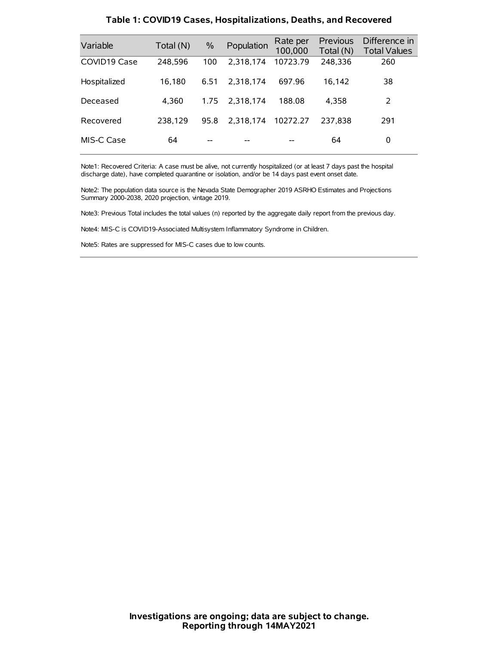| Variable     | Total (N) | $\frac{0}{0}$ | Population | Rate per<br>100,000 | Previous<br>Total (N) | Difference in<br><b>Total Values</b> |
|--------------|-----------|---------------|------------|---------------------|-----------------------|--------------------------------------|
| COVID19 Case | 248,596   | 100           | 2.318.174  | 10723.79            | 248,336               | 260                                  |
| Hospitalized | 16.180    | 6.51          | 2.318.174  | 697.96              | 16.142                | 38                                   |
| Deceased     | 4.360     | 1.75          | 2.318.174  | 188.08              | 4.358                 | 2                                    |
| Recovered    | 238.129   | 95.8          | 2.318.174  | 10272.27            | 237.838               | 291                                  |
| MIS-C Case   | 64        | --            |            |                     | 64                    | 0                                    |

#### **Table 1: COVID19 Cases, Hospitalizations, Deaths, and Recovered**

Note1: Recovered Criteria: A case must be alive, not currently hospitalized (or at least 7 days past the hospital discharge date), have completed quarantine or isolation, and/or be 14 days past event onset date.

Note2: The population data source is the Nevada State Demographer 2019 ASRHO Estimates and Projections Summary 2000-2038, 2020 projection, vintage 2019.

Note3: Previous Total includes the total values (n) reported by the aggregate daily report from the previous day.

Note4: MIS-C is COVID19-Associated Multisystem Inflammatory Syndrome in Children.

Note5: Rates are suppressed for MIS-C cases due to low counts.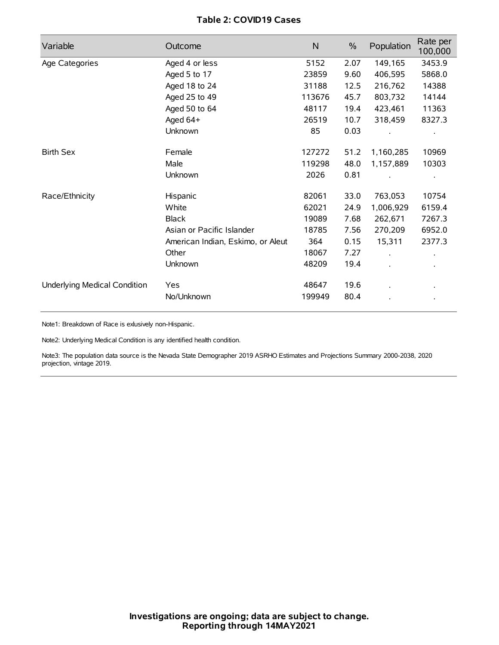## **Table 2: COVID19 Cases**

| Variable                     | Outcome                           | N      | $\%$ | Population | Rate per<br>100,000 |
|------------------------------|-----------------------------------|--------|------|------------|---------------------|
| Age Categories               | Aged 4 or less                    | 5152   | 2.07 | 149,165    | 3453.9              |
|                              | Aged 5 to 17                      | 23859  | 9.60 | 406,595    | 5868.0              |
|                              | Aged 18 to 24                     | 31188  | 12.5 | 216,762    | 14388               |
|                              | Aged 25 to 49                     | 113676 | 45.7 | 803,732    | 14144               |
|                              | Aged 50 to 64                     | 48117  | 19.4 | 423,461    | 11363               |
|                              | Aged 64+                          | 26519  | 10.7 | 318,459    | 8327.3              |
|                              | Unknown                           | 85     | 0.03 |            |                     |
| <b>Birth Sex</b>             | Female                            | 127272 | 51.2 | 1,160,285  | 10969               |
|                              | Male                              | 119298 | 48.0 | 1,157,889  | 10303               |
|                              | Unknown                           | 2026   | 0.81 |            |                     |
| Race/Ethnicity               | Hispanic                          | 82061  | 33.0 | 763,053    | 10754               |
|                              | White                             | 62021  | 24.9 | 1,006,929  | 6159.4              |
|                              | <b>Black</b>                      | 19089  | 7.68 | 262,671    | 7267.3              |
|                              | Asian or Pacific Islander         | 18785  | 7.56 | 270,209    | 6952.0              |
|                              | American Indian, Eskimo, or Aleut | 364    | 0.15 | 15,311     | 2377.3              |
|                              | Other                             | 18067  | 7.27 |            |                     |
|                              | Unknown                           | 48209  | 19.4 |            |                     |
| Underlying Medical Condition | <b>Yes</b>                        | 48647  | 19.6 |            |                     |
|                              | No/Unknown                        | 199949 | 80.4 |            |                     |

Note1: Breakdown of Race is exlusively non-Hispanic.

Note2: Underlying Medical Condition is any identified health condition.

Note3: The population data source is the Nevada State Demographer 2019 ASRHO Estimates and Projections Summary 2000-2038, 2020 projection, vintage 2019.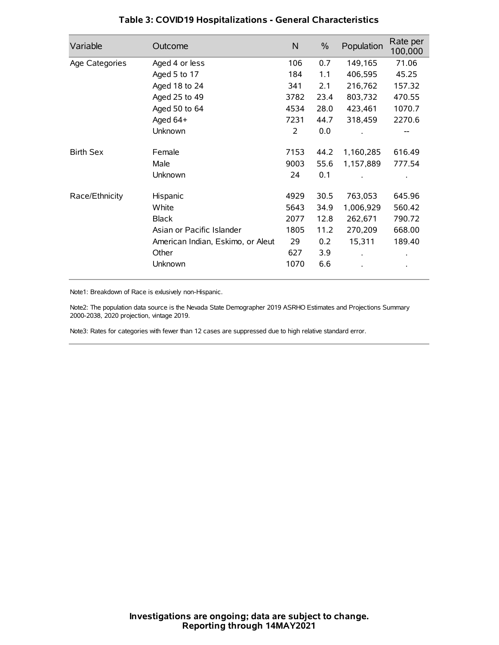| Variable         | Outcome                           | $\mathsf{N}$ | $\%$ | Population | Rate per<br>100,000 |
|------------------|-----------------------------------|--------------|------|------------|---------------------|
| Age Categories   | Aged 4 or less                    | 106          | 0.7  | 149,165    | 71.06               |
|                  | Aged 5 to 17                      | 184          | 1.1  | 406,595    | 45.25               |
|                  | Aged 18 to 24                     | 341          | 2.1  | 216,762    | 157.32              |
|                  | Aged 25 to 49                     | 3782         | 23.4 | 803,732    | 470.55              |
|                  | Aged 50 to 64                     | 4534         | 28.0 | 423,461    | 1070.7              |
|                  | Aged 64+                          | 7231         | 44.7 | 318,459    | 2270.6              |
|                  | Unknown                           | 2            | 0.0  |            | --                  |
| <b>Birth Sex</b> | Female                            | 7153         | 44.2 | 1,160,285  | 616.49              |
|                  | Male                              | 9003         | 55.6 | 1,157,889  | 777.54              |
|                  | Unknown                           | 24           | 0.1  |            |                     |
| Race/Ethnicity   | Hispanic                          | 4929         | 30.5 | 763,053    | 645.96              |
|                  | White                             | 5643         | 34.9 | 1,006,929  | 560.42              |
|                  | <b>Black</b>                      | 2077         | 12.8 | 262,671    | 790.72              |
|                  | Asian or Pacific Islander         | 1805         | 11.2 | 270,209    | 668.00              |
|                  | American Indian, Eskimo, or Aleut | 29           | 0.2  | 15,311     | 189.40              |
|                  | Other                             | 627          | 3.9  |            |                     |
|                  | Unknown                           | 1070         | 6.6  |            |                     |

## **Table 3: COVID19 Hospitalizations - General Characteristics**

Note1: Breakdown of Race is exlusively non-Hispanic.

Note2: The population data source is the Nevada State Demographer 2019 ASRHO Estimates and Projections Summary 2000-2038, 2020 projection, vintage 2019.

Note3: Rates for categories with fewer than 12 cases are suppressed due to high relative standard error.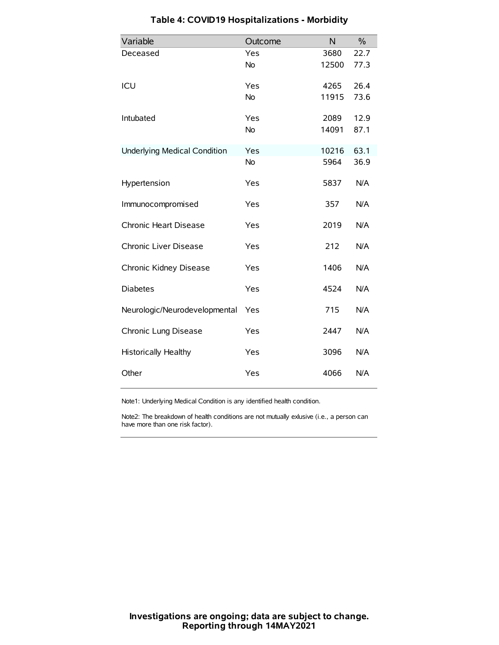| Variable                            | Outcome   | N     | $\%$ |
|-------------------------------------|-----------|-------|------|
| Deceased                            | Yes       | 3680  | 22.7 |
|                                     | <b>No</b> | 12500 | 77.3 |
| ICU                                 | Yes       | 4265  | 26.4 |
|                                     | <b>No</b> | 11915 | 73.6 |
| Intubated                           | Yes       | 2089  | 12.9 |
|                                     | <b>No</b> | 14091 | 87.1 |
| <b>Underlying Medical Condition</b> | Yes       | 10216 | 63.1 |
|                                     | No        | 5964  | 36.9 |
| Hypertension                        | Yes       | 5837  | N/A  |
| Immunocompromised                   | Yes       | 357   | N/A  |
| Chronic Heart Disease               | Yes       | 2019  | N/A  |
| Chronic Liver Disease               | Yes       | 212   | N/A  |
| Chronic Kidney Disease              | Yes       | 1406  | N/A  |
| <b>Diabetes</b>                     | Yes       | 4524  | N/A  |
| Neurologic/Neurodevelopmental       | Yes       | 715   | N/A  |
| Chronic Lung Disease                | Yes       | 2447  | N/A  |
| Historically Healthy                | Yes       | 3096  | N/A  |
| Other                               | Yes       | 4066  | N/A  |

# **Table 4: COVID19 Hospitalizations - Morbidity**

Note1: Underlying Medical Condition is any identified health condition.

Note2: The breakdown of health conditions are not mutually exlusive (i.e., a person can have more than one risk factor).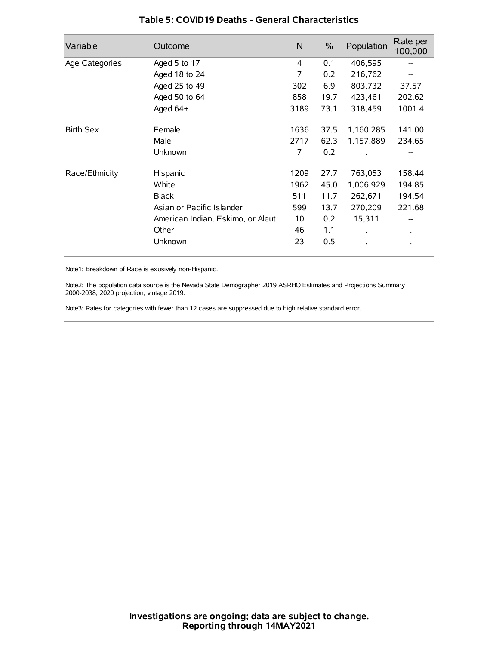| Variable         | Outcome                           | $\mathsf{N}$ | $\%$ | Population           | Rate per<br>100,000 |
|------------------|-----------------------------------|--------------|------|----------------------|---------------------|
| Age Categories   | Aged 5 to 17                      | 4            | 0.1  | 406,595              |                     |
|                  | Aged 18 to 24                     | 7            | 0.2  | 216,762              |                     |
|                  | Aged 25 to 49                     | 302          | 6.9  | 803,732              | 37.57               |
|                  | Aged 50 to 64                     | 858          | 19.7 | 423,461              | 202.62              |
|                  | Aged 64+                          | 3189         | 73.1 | 318,459              | 1001.4              |
| <b>Birth Sex</b> | Female                            | 1636         | 37.5 | 1,160,285            | 141.00              |
|                  | Male                              | 2717         | 62.3 | 1,157,889            | 234.65              |
|                  | Unknown                           | 7            | 0.2  |                      |                     |
| Race/Ethnicity   | Hispanic                          | 1209         | 27.7 | 763,053              | 158.44              |
|                  | White                             | 1962         | 45.0 | 1,006,929            | 194.85              |
|                  | <b>Black</b>                      | 511          | 11.7 | 262,671              | 194.54              |
|                  | Asian or Pacific Islander         | 599          | 13.7 | 270,209              | 221.68              |
|                  | American Indian, Eskimo, or Aleut | 10           | 0.2  | 15,311               |                     |
|                  | Other                             | 46           | 1.1  | $\ddot{\phantom{0}}$ | $\bullet$           |
|                  | Unknown                           | 23           | 0.5  |                      |                     |

## **Table 5: COVID19 Deaths - General Characteristics**

Note1: Breakdown of Race is exlusively non-Hispanic.

Note2: The population data source is the Nevada State Demographer 2019 ASRHO Estimates and Projections Summary 2000-2038, 2020 projection, vintage 2019.

Note3: Rates for categories with fewer than 12 cases are suppressed due to high relative standard error.